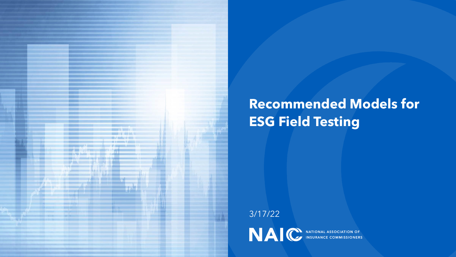

## **Recommended Models for ESG Field Testing**

3/17/22

NAIC INSURANCE COMMISSIONERS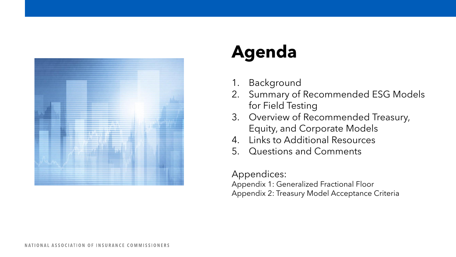

# **Agenda**

- 1. Background
- 2. Summary of Recommended ESG Models for Field Testing
- 3. Overview of Recommended Treasury, Equity, and Corporate Models
- 4. Links to Additional Resources
- 5. Questions and Comments

### Appendices:

Appendix 1: Generalized Fractional Floor Appendix 2: Treasury Model Acceptance Criteria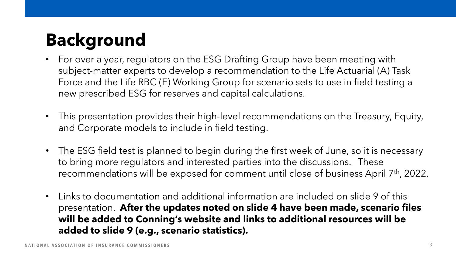# **Background**

- For over a year, regulators on the ESG Drafting Group have been meeting with subject-matter experts to develop a recommendation to the Life Actuarial (A) Task Force and the Life RBC (E) Working Group for scenario sets to use in field testing a new prescribed ESG for reserves and capital calculations.
- This presentation provides their high-level recommendations on the Treasury, Equity, and Corporate models to include in field testing.
- The ESG field test is planned to begin during the first week of June, so it is necessary to bring more regulators and interested parties into the discussions. These recommendations will be exposed for comment until close of business April 7th, 2022.
- Links to documentation and additional information are included on slide 9 of this presentation. **After the updates noted on slide 4 have been made, scenario files will be added to Conning's website and links to additional resources will be added to slide 9 (e.g., scenario statistics).**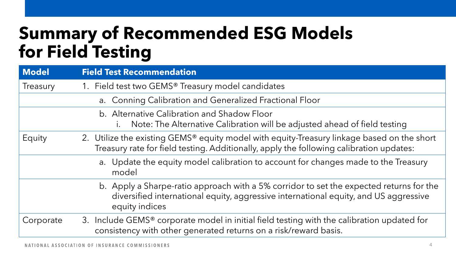# **Summary of Recommended ESG Models for Field Testing**

| <b>Model</b> | <b>Field Test Recommendation</b>                                                                                                                                                                  |
|--------------|---------------------------------------------------------------------------------------------------------------------------------------------------------------------------------------------------|
| Treasury     | 1. Field test two GEMS® Treasury model candidates                                                                                                                                                 |
|              | a. Conning Calibration and Generalized Fractional Floor                                                                                                                                           |
|              | b. Alternative Calibration and Shadow Floor<br>Note: The Alternative Calibration will be adjusted ahead of field testing<br>$\mathsf{L}$                                                          |
| Equity       | 2. Utilize the existing GEMS® equity model with equity-Treasury linkage based on the short<br>Treasury rate for field testing. Additionally, apply the following calibration updates:             |
|              | a. Update the equity model calibration to account for changes made to the Treasury<br>model                                                                                                       |
|              | b. Apply a Sharpe-ratio approach with a 5% corridor to set the expected returns for the<br>diversified international equity, aggressive international equity, and US aggressive<br>equity indices |
| Corporate    | 3. Include GEMS® corporate model in initial field testing with the calibration updated for<br>consistency with other generated returns on a risk/reward basis.                                    |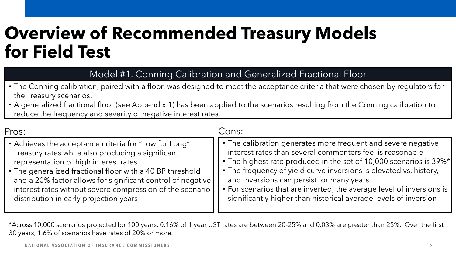## **Overview of Recommended Treasury Models for Field Test**

Model #1. Conning Calibration and Generalized Fractional Floor

- The Conning calibration, paired with a floor, was designed to meet the acceptance criteria that were chosen by regulators for the Treasury scenarios.
- f A generalized fractional floor (see Appendix 1) has been applied to the scenarios resulting from the Conning calibration to reduce the frequency and severity of negative interest rates.

| Pros:                                                       | Cons:                                                                 |
|-------------------------------------------------------------|-----------------------------------------------------------------------|
| • Achieves the acceptance criteria for "Low for Long"       | • The calibration generates more frequent and severe negative         |
| Treasury rates while also producing a significant           | interest rates than several commenters feel is reasonable             |
| representation of high interest rates                       | • The highest rate produced in the set of 10,000 scenarios is 39%*    |
| • The generalized fractional floor with a 40 BP threshold   | • The frequency of yield curve inversions is elevated vs. history,    |
| and a 20% factor allows for significant control of negative | and inversions can persist for many years                             |
| interest rates without severe compression of the scenario   | • For scenarios that are inverted, the average level of inversions is |
| distribution in early projection years                      | significantly higher than historical average levels of inversion      |

\*Across 10,000 scenarios projected for 100 years, 0.16% of 1 year UST rates are between 20-25% and 0.03% are greater than 25%. Over the first 30 years, 1.6% of scenarios have rates of 20% or more.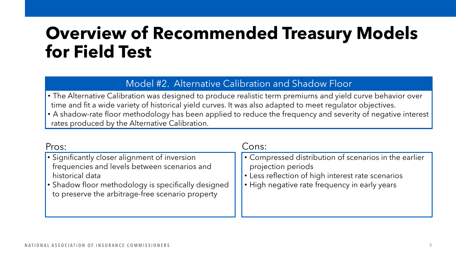## **Overview of Recommended Treasury Models for Field Test**

## Model #2. Alternative Calibration and Shadow Floor

• The Alternative Calibration was designed to produce realistic term premiums and yield curve behavior over time and fit a wide variety of historical yield curves. It was also adapted to meet regulator objectives.

f • A shadow-rate floor methodology has been applied to reduce the frequency and severity of negative interest rates produced by the Alternative Calibration.

| Pros:                                                                                                                                                                                                                       | Cons:                                                                                                                                                                             |  |
|-----------------------------------------------------------------------------------------------------------------------------------------------------------------------------------------------------------------------------|-----------------------------------------------------------------------------------------------------------------------------------------------------------------------------------|--|
| • Significantly closer alignment of inversion<br>frequencies and levels between scenarios and<br>historical data<br>• Shadow floor methodology is specifically designed<br>to preserve the arbitrage-free scenario property | • Compressed distribution of scenarios in the earlier<br>projection periods<br>• Less reflection of high interest rate scenarios<br>• High negative rate frequency in early years |  |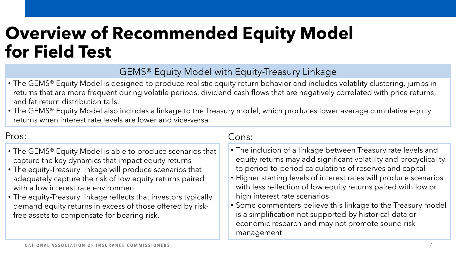## **Overview of Recommended Equity Model for Field Test**

## GEMS® Equity Model with Equity-Treasury Linkage

- The GEMS® Equity Model is designed to produce realistic equity return behavior and includes volatility clustering, jumps in returns that are more frequent during volatile periods, dividend cash flows that are negatively correlated with price returns, and fat return distribution tails.
- The GEMS® Equity Model also includes a linkage to the Treasury model, which produces lower average cumulative equity returns when interest rate levels are lower and vice-versa.

## Pros:

- The GEMS® Equity Model is able to produce scenarios that capture the key dynamics that impact equity returns
- The equity-Treasury linkage will produce scenarios that adequately capture the risk of low equity returns paired with a low interest rate environment
- The equity-Treasury linkage reflects that investors typically demand equity returns in excess of those offered by riskfree assets to compensate for bearing risk.

#### Cons:

- The inclusion of a linkage between Treasury rate levels and equity returns may add significant volatility and procyclicality to period-to-period calculations of reserves and capital
- Higher starting levels of interest rates will produce scenarios with less reflection of low equity returns paired with low or high interest rate scenarios
- Some commenters believe this linkage to the Treasury model is a simplification not supported by historical data or economic research and may not promote sound risk management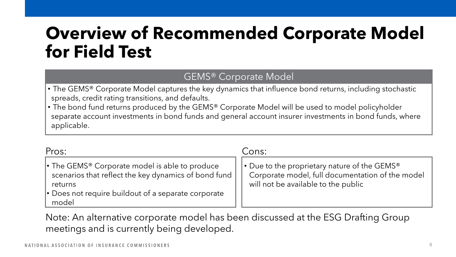## **Overview of Recommended Corporate Model for Field Test**

## GEMS® Corporate Model

- The GEMS® Corporate Model captures the key dynamics that influence bond returns, including stochastic spreads, credit rating transitions, and defaults.
- The bond fund returns produced by the GEMS® Corporate Model will be used to model policyholder separate account investments in bond funds and general account insurer investments in bond funds, where applicable.

| Pros:                                                                                                                                                                                                           | Cons:                                                                                                                                               |  |
|-----------------------------------------------------------------------------------------------------------------------------------------------------------------------------------------------------------------|-----------------------------------------------------------------------------------------------------------------------------------------------------|--|
| • The GEMS <sup>®</sup> Corporate model is able to produce<br>scenarios that reflect the key dynamics of bond fund $\parallel$<br>returns<br>$\cdot$ Does not require buildout of a separate corporate<br>model | • Due to the proprietary nature of the GEMS <sup>®</sup><br>Corporate model, full documentation of the model<br>will not be available to the public |  |

Note: An alternative corporate model has been discussed at the ESG Drafting Group meetings and is currently being developed.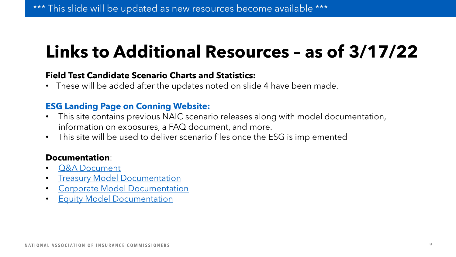# **Links to Additional Resources – as of 3/17/22**

#### **Field Test Candidate Scenario Charts and Statistics:**

• These will be added after the updates noted on slide 4 have been made.

#### **[ESG Landing Page on Conning Website:](https://naic.conning.com/scenariofiles)**

- This site contains previous NAIC scenario releases along with model documentation, information on exposures, a FAQ document, and more.
- This site will be used to deliver scenario files once the ESG is implemented

#### **Documentation**:

- [Q&A Document](https://azspcngcms.blob.core.windows.net/sitecoremedia/project/naic/files/documentation/esg-q-and-a-4,-d-,7,-d-,2021.pdf)
- [Treasury Model Documentation](https://azspcngcms.blob.core.windows.net/sitecoremedia/project/naic/files/documentation/naic-technical-documentation-interest-rates-draft.pdf)
- [Corporate Model Documentation](https://azspcngcms.blob.core.windows.net/sitecoremedia/project/naic/files/documentation/naic-technical-documentation-corporate-bonds.pdf)
- [Equity Model Documentation](https://azspcngcms.blob.core.windows.net/sitecoremedia/project/naic/files/documentation/naic-technical-documentation-equity-draft.pdf)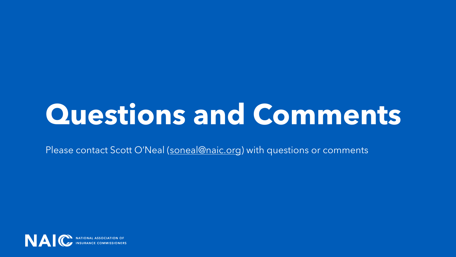# **Questions and Comments**

Please contact Scott O'Neal ([soneal@naic.org\)](mailto:soneal@naic.org) with questions or comments

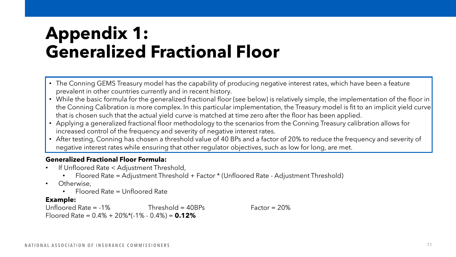## **Appendix 1: Generalized Fractional Floor**

- The Conning GEMS Treasury model has the capability of producing negative interest rates, which have been a feature prevalent in other countries currently and in recent history.
- While the basic formula for the generalized fractional floor (see below) is relatively simple, the implementation of the floor in the Conning Calibration is more complex. In this particular implementation, the Treasury model is fit to an implicit yield curve that is chosen such that the actual yield curve is matched at time zero after the floor has been applied.
- Applying a generalized fractional floor methodology to the scenarios from the Conning Treasury calibration allows for increased control of the frequency and severity of negative interest rates.
- After testing, Conning has chosen a threshold value of 40 BPs and a factor of 20% to reduce the frequency and severity of negative interest rates while ensuring that other regulator objectives, such as low for long, are met.

#### **Generalized Fractional Floor Formula:**

- If Unfloored Rate < Adjustment Threshold,
	- Floored Rate = Adjustment Threshold + Factor \* (Unfloored Rate Adjustment Threshold)
- Otherwise,
	- Floored Rate = Unfloored Rate

#### **Example:**

Unfloored Rate = -1% Threshold = 40BPs Factor = 20% Floored Rate = 0.4% + 20%\*(-1% - 0.4%) = **0.12%**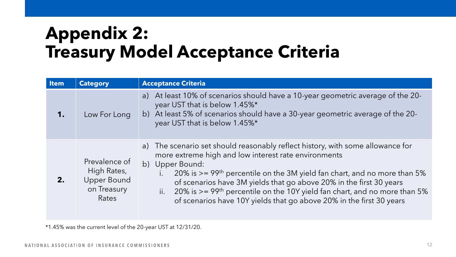# **Appendix 2: Treasury Model Acceptance Criteria**

| <b>Item</b> | <b>Category</b>                                                            | <b>Acceptance Criteria</b>                                                                                                                                                                                                                                                                                                                                                                                                                                                                        |
|-------------|----------------------------------------------------------------------------|---------------------------------------------------------------------------------------------------------------------------------------------------------------------------------------------------------------------------------------------------------------------------------------------------------------------------------------------------------------------------------------------------------------------------------------------------------------------------------------------------|
| 1.          | Low For Long                                                               | At least 10% of scenarios should have a 10-year geometric average of the 20-<br>a)<br>year UST that is below 1.45%*<br>b) At least 5% of scenarios should have a 30-year geometric average of the 20-<br>year UST that is below 1.45%*                                                                                                                                                                                                                                                            |
| 2.          | Prevalence of<br>High Rates,<br><b>Upper Bound</b><br>on Treasury<br>Rates | a) The scenario set should reasonably reflect history, with some allowance for<br>more extreme high and low interest rate environments<br>b) Upper Bound:<br>20% is $>= 99$ <sup>th</sup> percentile on the 3M yield fan chart, and no more than 5%<br>of scenarios have 3M yields that go above 20% in the first 30 years<br>ii. 20% is $>= 99$ <sup>th</sup> percentile on the 10Y yield fan chart, and no more than 5%<br>of scenarios have 10Y yields that go above 20% in the first 30 years |

\*1.45% was the current level of the 20-year UST at 12/31/20.